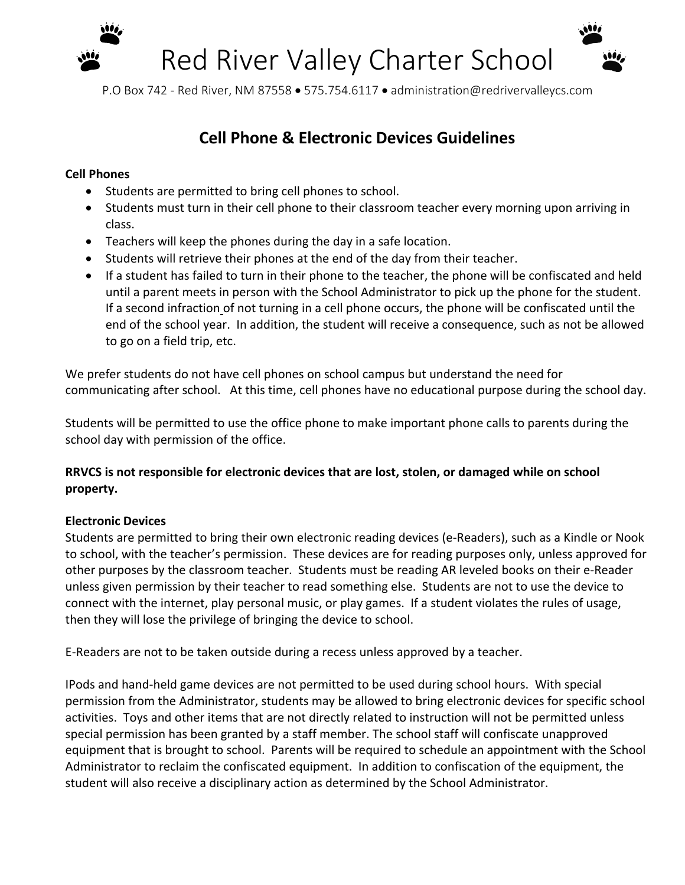

# Red River Valley Charter School

P.O Box 742 - Red River, NM 87558 • 575.754.6117 • administration@redrivervalleycs.com

## **Cell Phone & Electronic Devices Guidelines**

#### **Cell Phones**

- Students are permitted to bring cell phones to school.
- Students must turn in their cell phone to their classroom teacher every morning upon arriving in class.
- Teachers will keep the phones during the day in a safe location.
- Students will retrieve their phones at the end of the day from their teacher.
- If a student has failed to turn in their phone to the teacher, the phone will be confiscated and held until a parent meets in person with the School Administrator to pick up the phone for the student. If a second infraction of not turning in a cell phone occurs, the phone will be confiscated until the end of the school year. In addition, the student will receive a consequence, such as not be allowed to go on a field trip, etc.

We prefer students do not have cell phones on school campus but understand the need for communicating after school. At this time, cell phones have no educational purpose during the school day.

Students will be permitted to use the office phone to make important phone calls to parents during the school day with permission of the office.

### **RRVCS is not responsible for electronic devices that are lost, stolen, or damaged while on school property.**

#### **Electronic Devices**

Students are permitted to bring their own electronic reading devices (e-Readers), such as a Kindle or Nook to school, with the teacher's permission. These devices are for reading purposes only, unless approved for other purposes by the classroom teacher. Students must be reading AR leveled books on their e-Reader unless given permission by their teacher to read something else. Students are not to use the device to connect with the internet, play personal music, or play games. If a student violates the rules of usage, then they will lose the privilege of bringing the device to school.

E-Readers are not to be taken outside during a recess unless approved by a teacher.

IPods and hand-held game devices are not permitted to be used during school hours. With special permission from the Administrator, students may be allowed to bring electronic devices for specific school activities. Toys and other items that are not directly related to instruction will not be permitted unless special permission has been granted by a staff member. The school staff will confiscate unapproved equipment that is brought to school. Parents will be required to schedule an appointment with the School Administrator to reclaim the confiscated equipment. In addition to confiscation of the equipment, the student will also receive a disciplinary action as determined by the School Administrator.